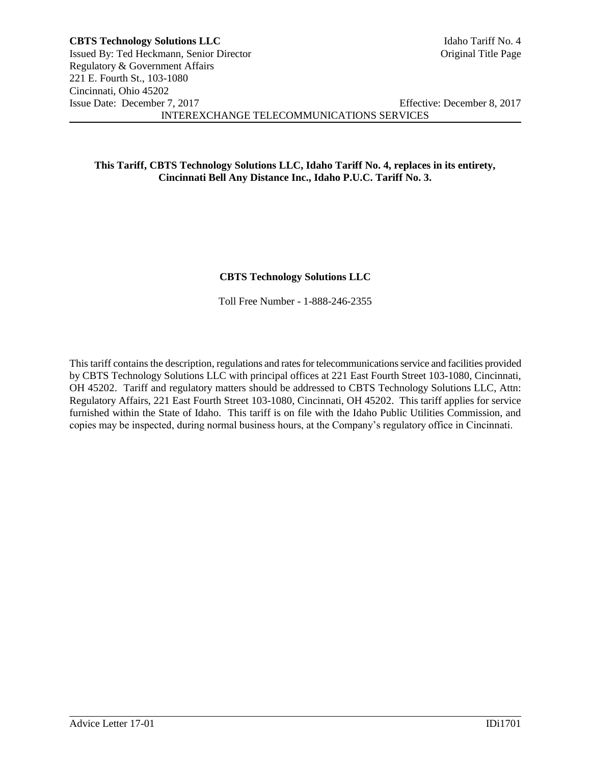# **This Tariff, CBTS Technology Solutions LLC, Idaho Tariff No. 4, replaces in its entirety, Cincinnati Bell Any Distance Inc., Idaho P.U.C. Tariff No. 3.**

# **CBTS Technology Solutions LLC**

Toll Free Number - 1-888-246-2355

This tariff contains the description, regulations and rates for telecommunications service and facilities provided by CBTS Technology Solutions LLC with principal offices at 221 East Fourth Street 103-1080, Cincinnati, OH 45202. Tariff and regulatory matters should be addressed to CBTS Technology Solutions LLC, Attn: Regulatory Affairs, 221 East Fourth Street 103-1080, Cincinnati, OH 45202. This tariff applies for service furnished within the State of Idaho. This tariff is on file with the Idaho Public Utilities Commission, and copies may be inspected, during normal business hours, at the Company's regulatory office in Cincinnati.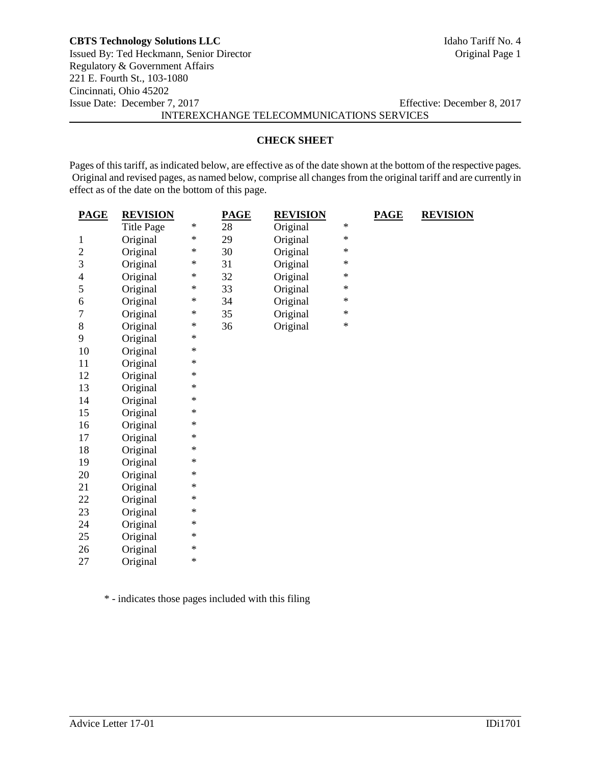### **CBTS Technology Solutions LLC** Idaho Tariff No. 4

Issued By: Ted Heckmann, Senior Director Original Page 1 Regulatory & Government Affairs 221 E. Fourth St., 103-1080 Cincinnati, Ohio 45202 Issue Date: December 7, 2017 Effective: December 8, 2017 INTEREXCHANGE TELECOMMUNICATIONS SERVICES

### **CHECK SHEET**

Pages of this tariff, as indicated below, are effective as of the date shown at the bottom of the respective pages. Original and revised pages, as named below, comprise all changes from the original tariff and are currently in effect as of the date on the bottom of this page.

| <b>PAGE</b>    | <b>REVISION</b>   |        | <b>PAGE</b> | <b>REVISION</b> |        | <b>PAGE</b> | <b>REVISION</b> |
|----------------|-------------------|--------|-------------|-----------------|--------|-------------|-----------------|
|                | <b>Title Page</b> | $\ast$ | 28          | Original        | $\ast$ |             |                 |
| 1              | Original          | $\ast$ | 29          | Original        | $\ast$ |             |                 |
| $\sqrt{2}$     | Original          | ∗      | 30          | Original        | $\ast$ |             |                 |
| 3              | Original          | $\ast$ | 31          | Original        | $\ast$ |             |                 |
| $\overline{4}$ | Original          | $\ast$ | 32          | Original        | $\ast$ |             |                 |
| 5              | Original          | $\ast$ | 33          | Original        | $\ast$ |             |                 |
| 6              | Original          | $\ast$ | 34          | Original        | $\ast$ |             |                 |
| $\tau$         | Original          | $\ast$ | 35          | Original        | $\ast$ |             |                 |
| 8              | Original          | $\ast$ | 36          | Original        | $\ast$ |             |                 |
| 9              | Original          | $\ast$ |             |                 |        |             |                 |
| 10             | Original          | $\ast$ |             |                 |        |             |                 |
| 11             | Original          | $\ast$ |             |                 |        |             |                 |
| 12             | Original          | $\ast$ |             |                 |        |             |                 |
| 13             | Original          | $\ast$ |             |                 |        |             |                 |
| 14             | Original          | $\ast$ |             |                 |        |             |                 |
| 15             | Original          | $\ast$ |             |                 |        |             |                 |
| 16             | Original          | $\ast$ |             |                 |        |             |                 |
| 17             | Original          | $\ast$ |             |                 |        |             |                 |
| 18             | Original          | $\ast$ |             |                 |        |             |                 |
| 19             | Original          | $\ast$ |             |                 |        |             |                 |
| 20             | Original          | $\ast$ |             |                 |        |             |                 |
| 21             | Original          | $\ast$ |             |                 |        |             |                 |
| 22             | Original          | $\ast$ |             |                 |        |             |                 |
| 23             | Original          | $\ast$ |             |                 |        |             |                 |
| 24             | Original          | $\ast$ |             |                 |        |             |                 |
| 25             | Original          | $\ast$ |             |                 |        |             |                 |
| 26             | Original          | $\ast$ |             |                 |        |             |                 |
| 27             | Original          | $\ast$ |             |                 |        |             |                 |

\* - indicates those pages included with this filing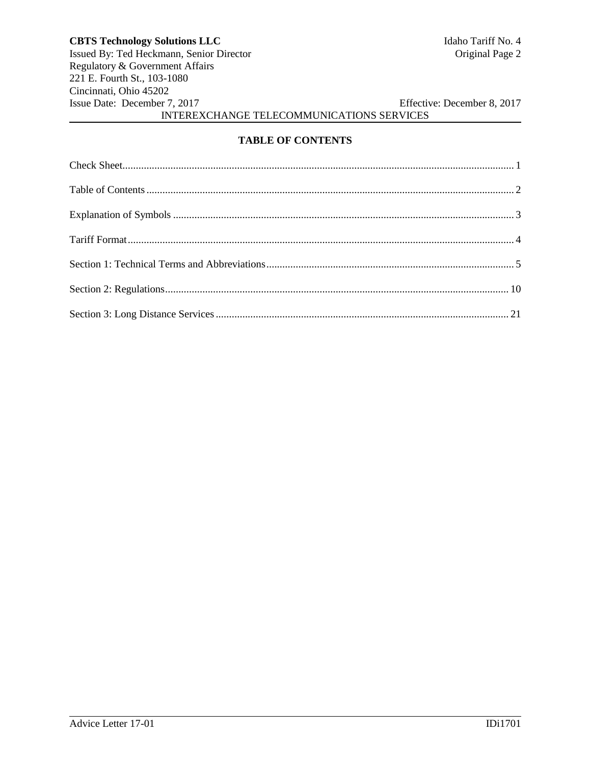# **TABLE OF CONTENTS**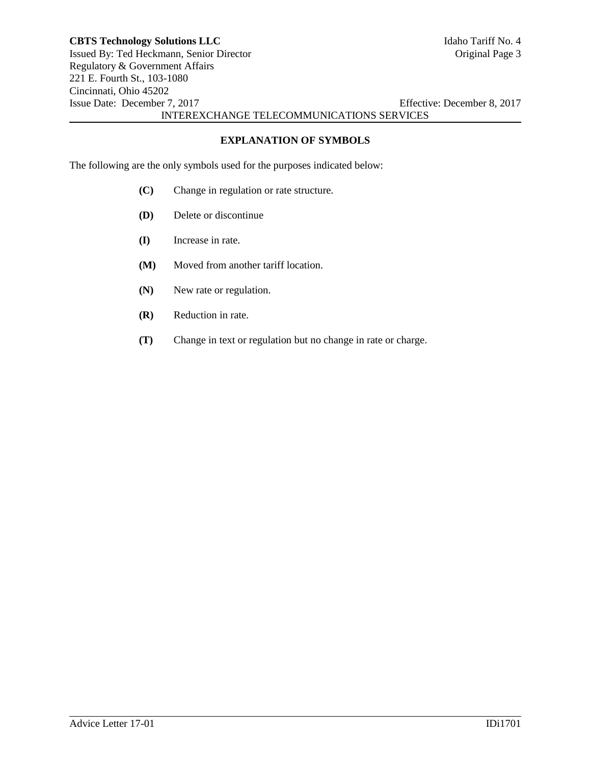**EXPLANATION OF SYMBOLS**

The following are the only symbols used for the purposes indicated below:

- **(C)** Change in regulation or rate structure.
- **(D)** Delete or discontinue
- **(I)** Increase in rate.
- **(M)** Moved from another tariff location.
- **(N)** New rate or regulation.
- **(R)** Reduction in rate.
- **(T)** Change in text or regulation but no change in rate or charge.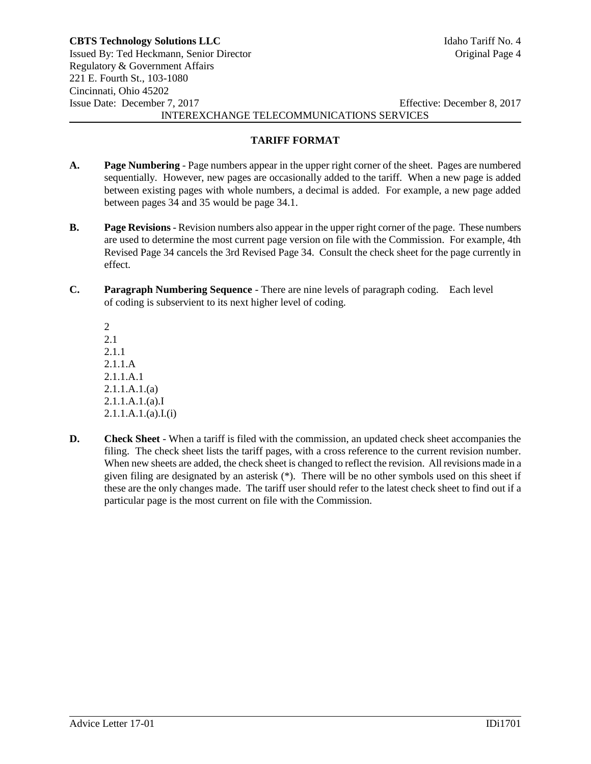### **TARIFF FORMAT**

- **A. Page Numbering** Page numbers appear in the upper right corner of the sheet. Pages are numbered sequentially. However, new pages are occasionally added to the tariff. When a new page is added between existing pages with whole numbers, a decimal is added. For example, a new page added between pages 34 and 35 would be page 34.1.
- **B. Page Revisions** Revision numbers also appear in the upper right corner of the page. These numbers are used to determine the most current page version on file with the Commission. For example, 4th Revised Page 34 cancels the 3rd Revised Page 34. Consult the check sheet for the page currently in effect.
- **C. Paragraph Numbering Sequence** There are nine levels of paragraph coding. Each level of coding is subservient to its next higher level of coding.

2 2.1 2.1.1 2.1.1.A 2.1.1.A.1 2.1.1.A.1.(a) 2.1.1.A.1.(a).I 2.1.1.A.1.(a).I.(i)

**D. Check Sheet** - When a tariff is filed with the commission, an updated check sheet accompanies the filing. The check sheet lists the tariff pages, with a cross reference to the current revision number. When new sheets are added, the check sheet is changed to reflect the revision. All revisions made in a given filing are designated by an asterisk (\*). There will be no other symbols used on this sheet if these are the only changes made. The tariff user should refer to the latest check sheet to find out if a particular page is the most current on file with the Commission.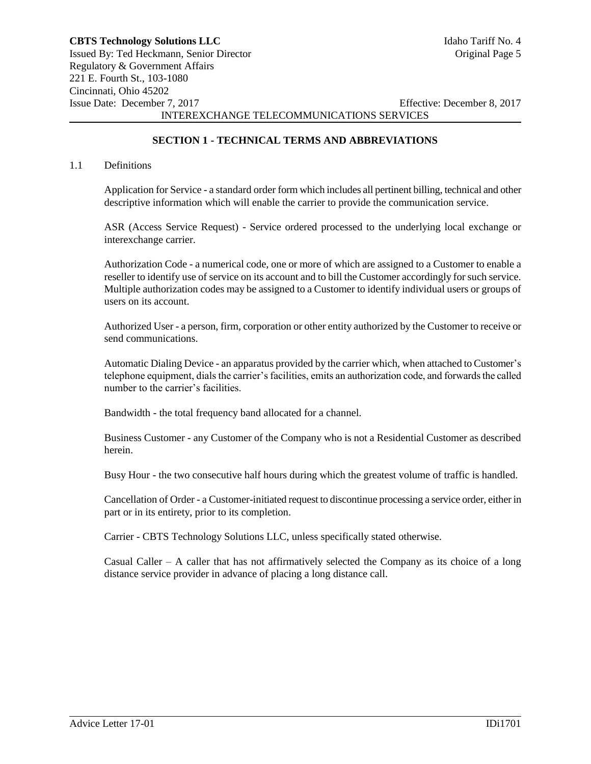# **SECTION 1 - TECHNICAL TERMS AND ABBREVIATIONS**

#### 1.1 Definitions

Application for Service - a standard order form which includes all pertinent billing, technical and other descriptive information which will enable the carrier to provide the communication service.

ASR (Access Service Request) - Service ordered processed to the underlying local exchange or interexchange carrier.

Authorization Code - a numerical code, one or more of which are assigned to a Customer to enable a reseller to identify use of service on its account and to bill the Customer accordingly for such service. Multiple authorization codes may be assigned to a Customer to identify individual users or groups of users on its account.

Authorized User - a person, firm, corporation or other entity authorized by the Customer to receive or send communications.

Automatic Dialing Device - an apparatus provided by the carrier which, when attached to Customer's telephone equipment, dials the carrier's facilities, emits an authorization code, and forwards the called number to the carrier's facilities.

Bandwidth - the total frequency band allocated for a channel.

Business Customer - any Customer of the Company who is not a Residential Customer as described herein.

Busy Hour - the two consecutive half hours during which the greatest volume of traffic is handled.

Cancellation of Order - a Customer-initiated request to discontinue processing a service order, either in part or in its entirety, prior to its completion.

Carrier - CBTS Technology Solutions LLC, unless specifically stated otherwise.

Casual Caller – A caller that has not affirmatively selected the Company as its choice of a long distance service provider in advance of placing a long distance call.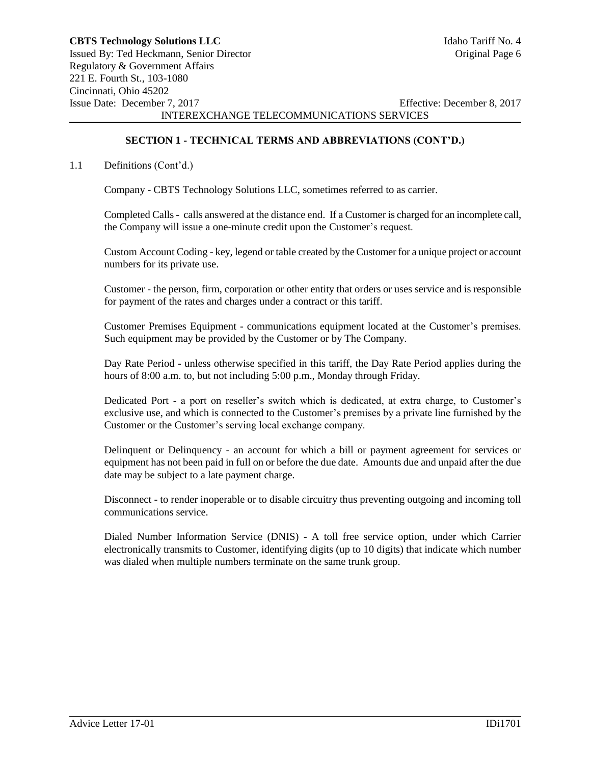## **SECTION 1 - TECHNICAL TERMS AND ABBREVIATIONS (CONT'D.)**

### 1.1 Definitions (Cont'd.)

Company - CBTS Technology Solutions LLC, sometimes referred to as carrier.

Completed Calls - calls answered at the distance end. If a Customer is charged for an incomplete call, the Company will issue a one-minute credit upon the Customer's request.

Custom Account Coding - key, legend or table created by the Customer for a unique project or account numbers for its private use.

Customer - the person, firm, corporation or other entity that orders or uses service and is responsible for payment of the rates and charges under a contract or this tariff.

Customer Premises Equipment - communications equipment located at the Customer's premises. Such equipment may be provided by the Customer or by The Company.

Day Rate Period - unless otherwise specified in this tariff, the Day Rate Period applies during the hours of 8:00 a.m. to, but not including 5:00 p.m., Monday through Friday.

Dedicated Port - a port on reseller's switch which is dedicated, at extra charge, to Customer's exclusive use, and which is connected to the Customer's premises by a private line furnished by the Customer or the Customer's serving local exchange company.

Delinquent or Delinquency - an account for which a bill or payment agreement for services or equipment has not been paid in full on or before the due date. Amounts due and unpaid after the due date may be subject to a late payment charge.

Disconnect - to render inoperable or to disable circuitry thus preventing outgoing and incoming toll communications service.

Dialed Number Information Service (DNIS) - A toll free service option, under which Carrier electronically transmits to Customer, identifying digits (up to 10 digits) that indicate which number was dialed when multiple numbers terminate on the same trunk group.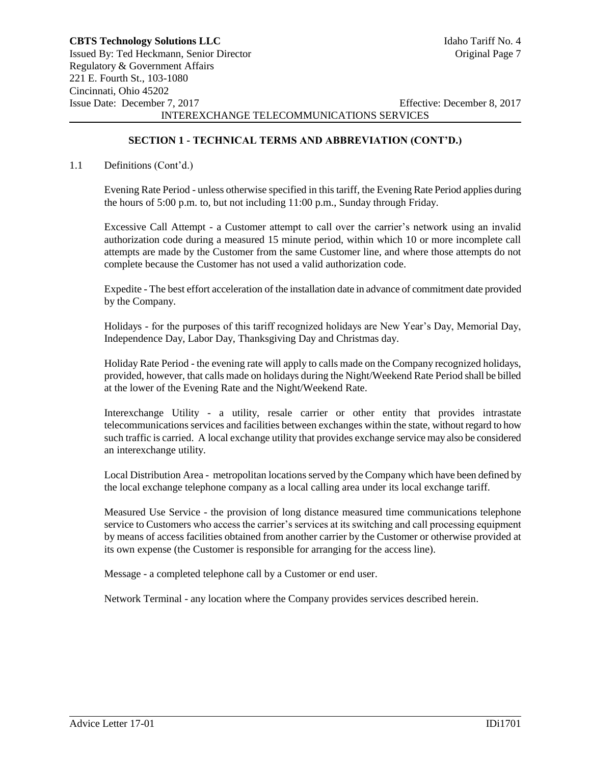# **SECTION 1 - TECHNICAL TERMS AND ABBREVIATION (CONT'D.)**

#### 1.1 Definitions (Cont'd.)

Evening Rate Period - unless otherwise specified in this tariff, the Evening Rate Period applies during the hours of 5:00 p.m. to, but not including 11:00 p.m., Sunday through Friday.

Excessive Call Attempt - a Customer attempt to call over the carrier's network using an invalid authorization code during a measured 15 minute period, within which 10 or more incomplete call attempts are made by the Customer from the same Customer line, and where those attempts do not complete because the Customer has not used a valid authorization code.

Expedite - The best effort acceleration of the installation date in advance of commitment date provided by the Company.

Holidays - for the purposes of this tariff recognized holidays are New Year's Day, Memorial Day, Independence Day, Labor Day, Thanksgiving Day and Christmas day.

Holiday Rate Period - the evening rate will apply to calls made on the Company recognized holidays, provided, however, that calls made on holidays during the Night/Weekend Rate Period shall be billed at the lower of the Evening Rate and the Night/Weekend Rate.

Interexchange Utility - a utility, resale carrier or other entity that provides intrastate telecommunications services and facilities between exchanges within the state, without regard to how such traffic is carried. A local exchange utility that provides exchange service may also be considered an interexchange utility.

Local Distribution Area - metropolitan locations served by the Company which have been defined by the local exchange telephone company as a local calling area under its local exchange tariff.

Measured Use Service - the provision of long distance measured time communications telephone service to Customers who access the carrier's services at its switching and call processing equipment by means of access facilities obtained from another carrier by the Customer or otherwise provided at its own expense (the Customer is responsible for arranging for the access line).

Message - a completed telephone call by a Customer or end user.

Network Terminal - any location where the Company provides services described herein.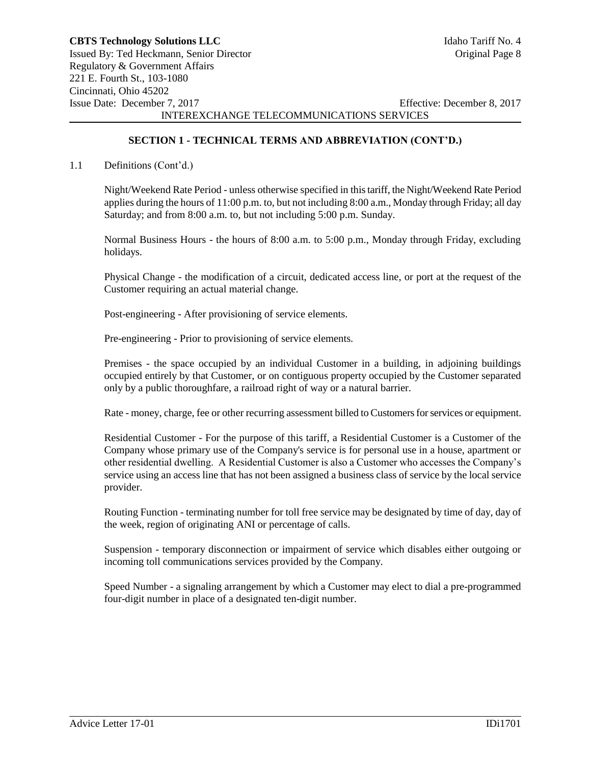## **SECTION 1 - TECHNICAL TERMS AND ABBREVIATION (CONT'D.)**

#### 1.1 Definitions (Cont'd.)

Night/Weekend Rate Period - unless otherwise specified in this tariff, the Night/Weekend Rate Period applies during the hours of 11:00 p.m. to, but not including 8:00 a.m., Monday through Friday; all day Saturday; and from 8:00 a.m. to, but not including 5:00 p.m. Sunday.

Normal Business Hours - the hours of 8:00 a.m. to 5:00 p.m., Monday through Friday, excluding holidays.

Physical Change - the modification of a circuit, dedicated access line, or port at the request of the Customer requiring an actual material change.

Post-engineering - After provisioning of service elements.

Pre-engineering - Prior to provisioning of service elements.

Premises - the space occupied by an individual Customer in a building, in adjoining buildings occupied entirely by that Customer, or on contiguous property occupied by the Customer separated only by a public thoroughfare, a railroad right of way or a natural barrier.

Rate - money, charge, fee or other recurring assessment billed to Customers for services or equipment.

Residential Customer - For the purpose of this tariff, a Residential Customer is a Customer of the Company whose primary use of the Company's service is for personal use in a house, apartment or other residential dwelling. A Residential Customer is also a Customer who accesses the Company's service using an access line that has not been assigned a business class of service by the local service provider.

Routing Function - terminating number for toll free service may be designated by time of day, day of the week, region of originating ANI or percentage of calls.

Suspension - temporary disconnection or impairment of service which disables either outgoing or incoming toll communications services provided by the Company.

Speed Number - a signaling arrangement by which a Customer may elect to dial a pre-programmed four-digit number in place of a designated ten-digit number.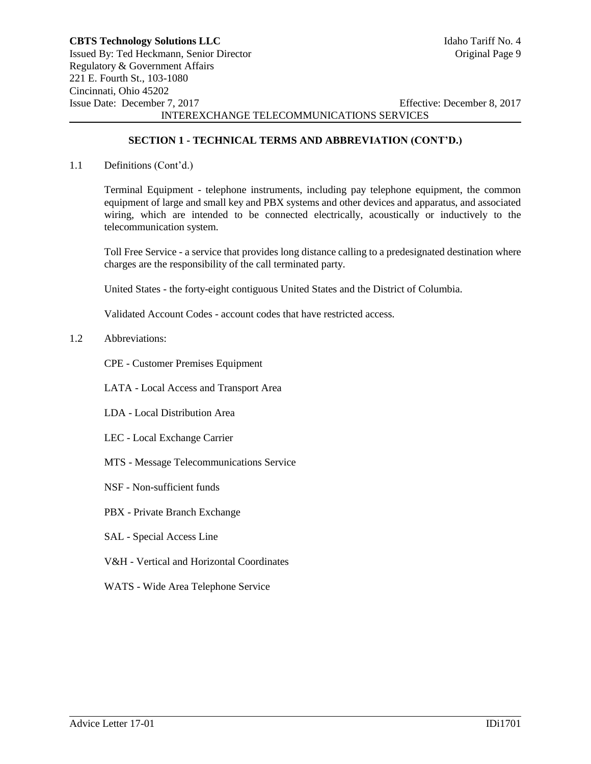## **SECTION 1 - TECHNICAL TERMS AND ABBREVIATION (CONT'D.)**

1.1 Definitions (Cont'd.)

Terminal Equipment - telephone instruments, including pay telephone equipment, the common equipment of large and small key and PBX systems and other devices and apparatus, and associated wiring, which are intended to be connected electrically, acoustically or inductively to the telecommunication system.

Toll Free Service - a service that provides long distance calling to a predesignated destination where charges are the responsibility of the call terminated party.

United States - the forty-eight contiguous United States and the District of Columbia.

Validated Account Codes - account codes that have restricted access.

#### 1.2 Abbreviations:

CPE - Customer Premises Equipment

LATA - Local Access and Transport Area

- LDA Local Distribution Area
- LEC Local Exchange Carrier
- MTS Message Telecommunications Service
- NSF Non-sufficient funds
- PBX Private Branch Exchange
- SAL Special Access Line
- V&H Vertical and Horizontal Coordinates
- WATS Wide Area Telephone Service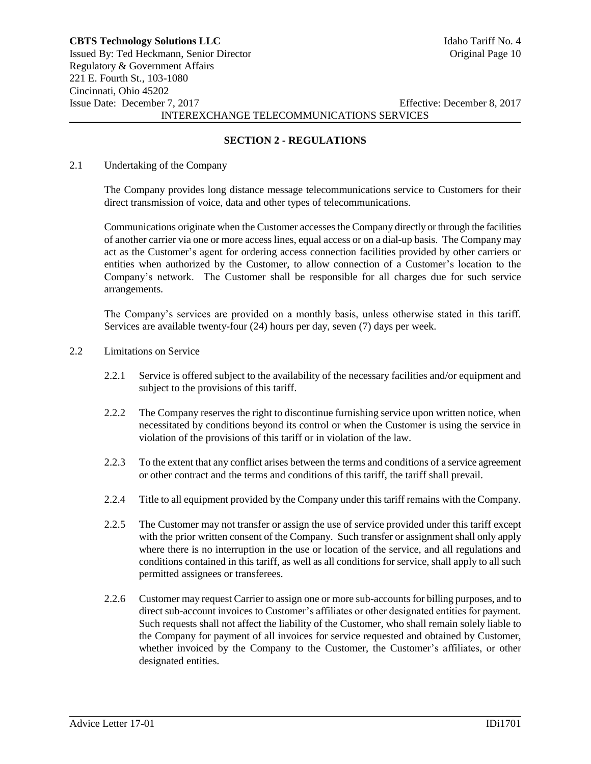### **SECTION 2 - REGULATIONS**

#### 2.1 Undertaking of the Company

The Company provides long distance message telecommunications service to Customers for their direct transmission of voice, data and other types of telecommunications.

Communications originate when the Customer accesses the Company directly or through the facilities of another carrier via one or more access lines, equal access or on a dial-up basis. The Company may act as the Customer's agent for ordering access connection facilities provided by other carriers or entities when authorized by the Customer, to allow connection of a Customer's location to the Company's network. The Customer shall be responsible for all charges due for such service arrangements.

The Company's services are provided on a monthly basis, unless otherwise stated in this tariff. Services are available twenty-four (24) hours per day, seven (7) days per week.

### 2.2 Limitations on Service

- 2.2.1 Service is offered subject to the availability of the necessary facilities and/or equipment and subject to the provisions of this tariff.
- 2.2.2 The Company reserves the right to discontinue furnishing service upon written notice, when necessitated by conditions beyond its control or when the Customer is using the service in violation of the provisions of this tariff or in violation of the law.
- 2.2.3 To the extent that any conflict arises between the terms and conditions of a service agreement or other contract and the terms and conditions of this tariff, the tariff shall prevail.
- 2.2.4 Title to all equipment provided by the Company under this tariff remains with the Company.
- 2.2.5 The Customer may not transfer or assign the use of service provided under this tariff except with the prior written consent of the Company. Such transfer or assignment shall only apply where there is no interruption in the use or location of the service, and all regulations and conditions contained in this tariff, as well as all conditions for service, shall apply to all such permitted assignees or transferees.
- 2.2.6 Customer may request Carrier to assign one or more sub-accounts for billing purposes, and to direct sub-account invoices to Customer's affiliates or other designated entities for payment. Such requests shall not affect the liability of the Customer, who shall remain solely liable to the Company for payment of all invoices for service requested and obtained by Customer, whether invoiced by the Company to the Customer, the Customer's affiliates, or other designated entities.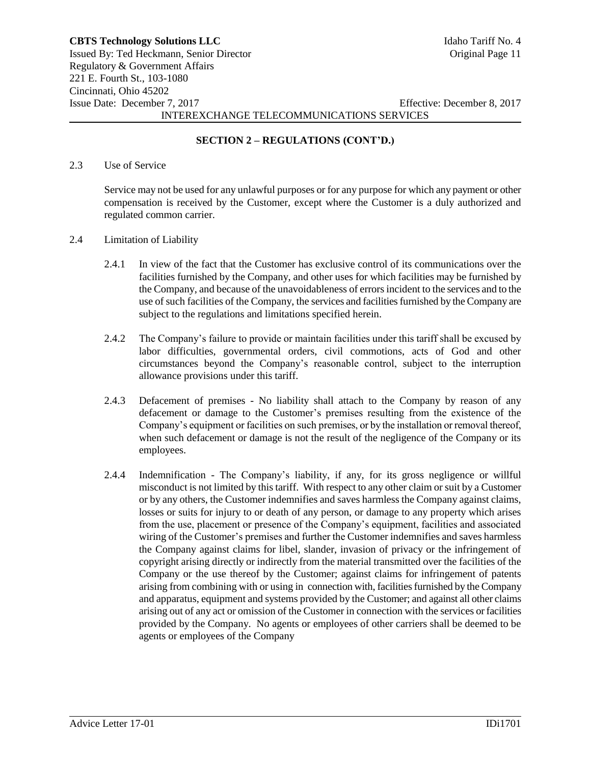# **SECTION 2 – REGULATIONS (CONT'D.)**

#### 2.3 Use of Service

Service may not be used for any unlawful purposes or for any purpose for which any payment or other compensation is received by the Customer, except where the Customer is a duly authorized and regulated common carrier.

- 2.4 Limitation of Liability
	- 2.4.1 In view of the fact that the Customer has exclusive control of its communications over the facilities furnished by the Company, and other uses for which facilities may be furnished by the Company, and because of the unavoidableness of errors incident to the services and to the use of such facilities of the Company, the services and facilities furnished by the Company are subject to the regulations and limitations specified herein.
	- 2.4.2 The Company's failure to provide or maintain facilities under this tariff shall be excused by labor difficulties, governmental orders, civil commotions, acts of God and other circumstances beyond the Company's reasonable control, subject to the interruption allowance provisions under this tariff.
	- 2.4.3 Defacement of premises No liability shall attach to the Company by reason of any defacement or damage to the Customer's premises resulting from the existence of the Company's equipment or facilities on such premises, or by the installation or removal thereof, when such defacement or damage is not the result of the negligence of the Company or its employees.
	- 2.4.4 Indemnification The Company's liability, if any, for its gross negligence or willful misconduct is not limited by this tariff. With respect to any other claim or suit by a Customer or by any others, the Customer indemnifies and saves harmless the Company against claims, losses or suits for injury to or death of any person, or damage to any property which arises from the use, placement or presence of the Company's equipment, facilities and associated wiring of the Customer's premises and further the Customer indemnifies and saves harmless the Company against claims for libel, slander, invasion of privacy or the infringement of copyright arising directly or indirectly from the material transmitted over the facilities of the Company or the use thereof by the Customer; against claims for infringement of patents arising from combining with or using in connection with, facilities furnished by the Company and apparatus, equipment and systems provided by the Customer; and against all other claims arising out of any act or omission of the Customer in connection with the services or facilities provided by the Company. No agents or employees of other carriers shall be deemed to be agents or employees of the Company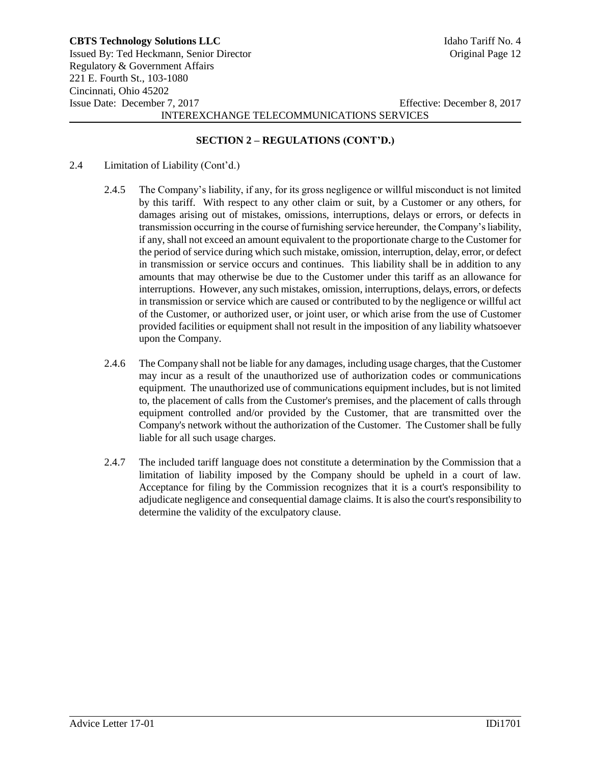## **SECTION 2 – REGULATIONS (CONT'D.)**

- 2.4 Limitation of Liability (Cont'd.)
	- 2.4.5 The Company's liability, if any, for its gross negligence or willful misconduct is not limited by this tariff. With respect to any other claim or suit, by a Customer or any others, for damages arising out of mistakes, omissions, interruptions, delays or errors, or defects in transmission occurring in the course of furnishing service hereunder, the Company's liability, if any, shall not exceed an amount equivalent to the proportionate charge to the Customer for the period of service during which such mistake, omission, interruption, delay, error, or defect in transmission or service occurs and continues. This liability shall be in addition to any amounts that may otherwise be due to the Customer under this tariff as an allowance for interruptions. However, any such mistakes, omission, interruptions, delays, errors, or defects in transmission or service which are caused or contributed to by the negligence or willful act of the Customer, or authorized user, or joint user, or which arise from the use of Customer provided facilities or equipment shall not result in the imposition of any liability whatsoever upon the Company.
	- 2.4.6 The Company shall not be liable for any damages, including usage charges, that the Customer may incur as a result of the unauthorized use of authorization codes or communications equipment. The unauthorized use of communications equipment includes, but is not limited to, the placement of calls from the Customer's premises, and the placement of calls through equipment controlled and/or provided by the Customer, that are transmitted over the Company's network without the authorization of the Customer. The Customer shall be fully liable for all such usage charges.
	- 2.4.7 The included tariff language does not constitute a determination by the Commission that a limitation of liability imposed by the Company should be upheld in a court of law. Acceptance for filing by the Commission recognizes that it is a court's responsibility to adjudicate negligence and consequential damage claims. It is also the court's responsibility to determine the validity of the exculpatory clause.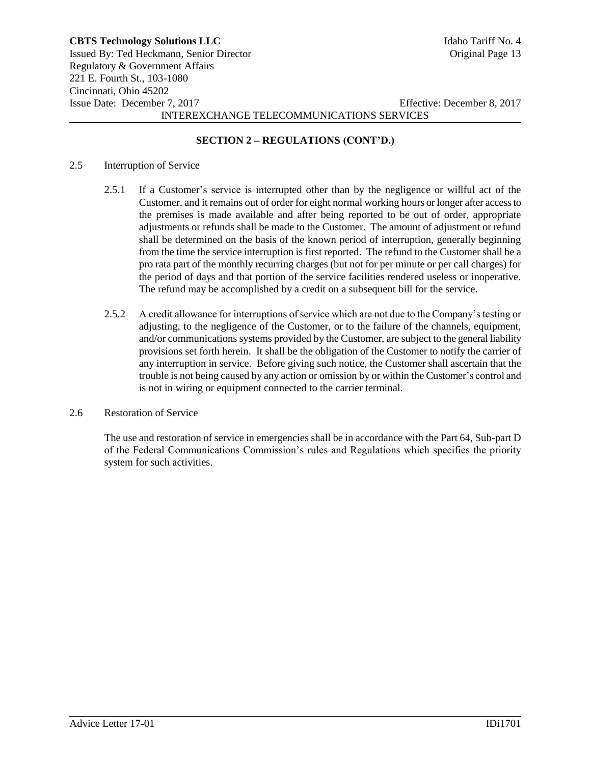# **SECTION 2 – REGULATIONS (CONT'D.)**

#### 2.5 Interruption of Service

- 2.5.1 If a Customer's service is interrupted other than by the negligence or willful act of the Customer, and it remains out of order for eight normal working hours or longer after access to the premises is made available and after being reported to be out of order, appropriate adjustments or refunds shall be made to the Customer. The amount of adjustment or refund shall be determined on the basis of the known period of interruption, generally beginning from the time the service interruption is first reported. The refund to the Customer shall be a pro rata part of the monthly recurring charges (but not for per minute or per call charges) for the period of days and that portion of the service facilities rendered useless or inoperative. The refund may be accomplished by a credit on a subsequent bill for the service.
- 2.5.2 A credit allowance for interruptions of service which are not due to the Company's testing or adjusting, to the negligence of the Customer, or to the failure of the channels, equipment, and/or communications systems provided by the Customer, are subject to the general liability provisions set forth herein. It shall be the obligation of the Customer to notify the carrier of any interruption in service. Before giving such notice, the Customer shall ascertain that the trouble is not being caused by any action or omission by or within the Customer's control and is not in wiring or equipment connected to the carrier terminal.

#### 2.6 Restoration of Service

The use and restoration of service in emergencies shall be in accordance with the Part 64, Sub-part D of the Federal Communications Commission's rules and Regulations which specifies the priority system for such activities.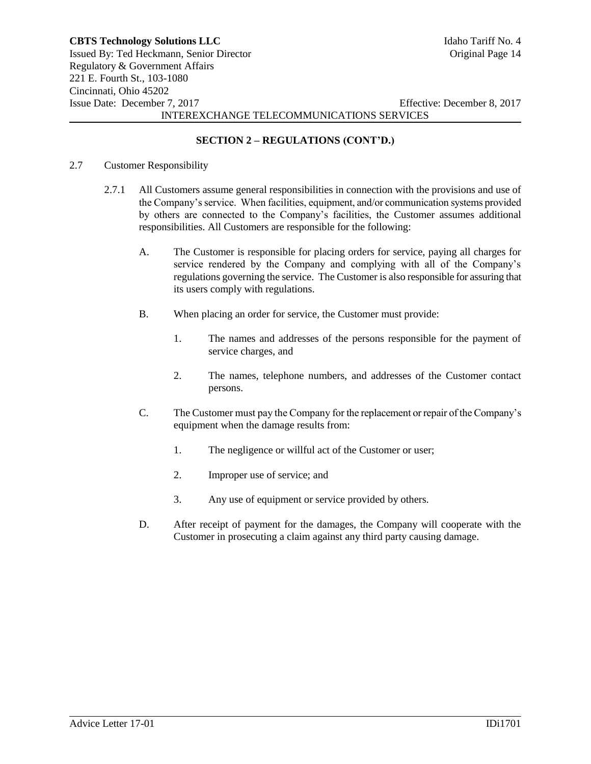# **SECTION 2 – REGULATIONS (CONT'D.)**

#### 2.7 Customer Responsibility

- 2.7.1 All Customers assume general responsibilities in connection with the provisions and use of the Company's service. When facilities, equipment, and/or communication systems provided by others are connected to the Company's facilities, the Customer assumes additional responsibilities. All Customers are responsible for the following:
	- A. The Customer is responsible for placing orders for service, paying all charges for service rendered by the Company and complying with all of the Company's regulations governing the service. The Customer is also responsible for assuring that its users comply with regulations.
	- B. When placing an order for service, the Customer must provide:
		- 1. The names and addresses of the persons responsible for the payment of service charges, and
		- 2. The names, telephone numbers, and addresses of the Customer contact persons.
	- C. The Customer must pay the Company for the replacement or repair of the Company's equipment when the damage results from:
		- 1. The negligence or willful act of the Customer or user;
		- 2. Improper use of service; and
		- 3. Any use of equipment or service provided by others.
	- D. After receipt of payment for the damages, the Company will cooperate with the Customer in prosecuting a claim against any third party causing damage.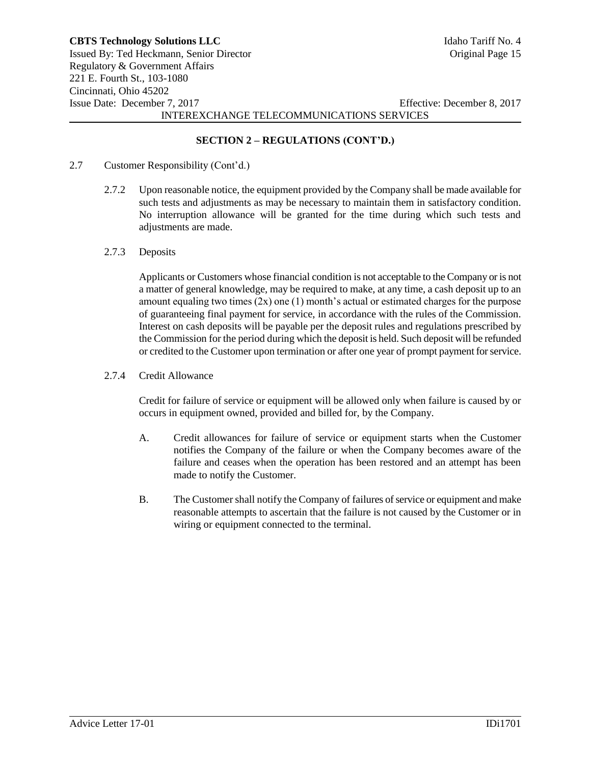# **SECTION 2 – REGULATIONS (CONT'D.)**

- 2.7 Customer Responsibility (Cont'd.)
	- 2.7.2 Upon reasonable notice, the equipment provided by the Company shall be made available for such tests and adjustments as may be necessary to maintain them in satisfactory condition. No interruption allowance will be granted for the time during which such tests and adjustments are made.
	- 2.7.3 Deposits

Applicants or Customers whose financial condition is not acceptable to the Company or is not a matter of general knowledge, may be required to make, at any time, a cash deposit up to an amount equaling two times  $(2x)$  one  $(1)$  month's actual or estimated charges for the purpose of guaranteeing final payment for service, in accordance with the rules of the Commission. Interest on cash deposits will be payable per the deposit rules and regulations prescribed by the Commission for the period during which the deposit is held. Such deposit will be refunded or credited to the Customer upon termination or after one year of prompt payment for service.

2.7.4 Credit Allowance

Credit for failure of service or equipment will be allowed only when failure is caused by or occurs in equipment owned, provided and billed for, by the Company.

- A. Credit allowances for failure of service or equipment starts when the Customer notifies the Company of the failure or when the Company becomes aware of the failure and ceases when the operation has been restored and an attempt has been made to notify the Customer.
- B. The Customer shall notify the Company of failures of service or equipment and make reasonable attempts to ascertain that the failure is not caused by the Customer or in wiring or equipment connected to the terminal.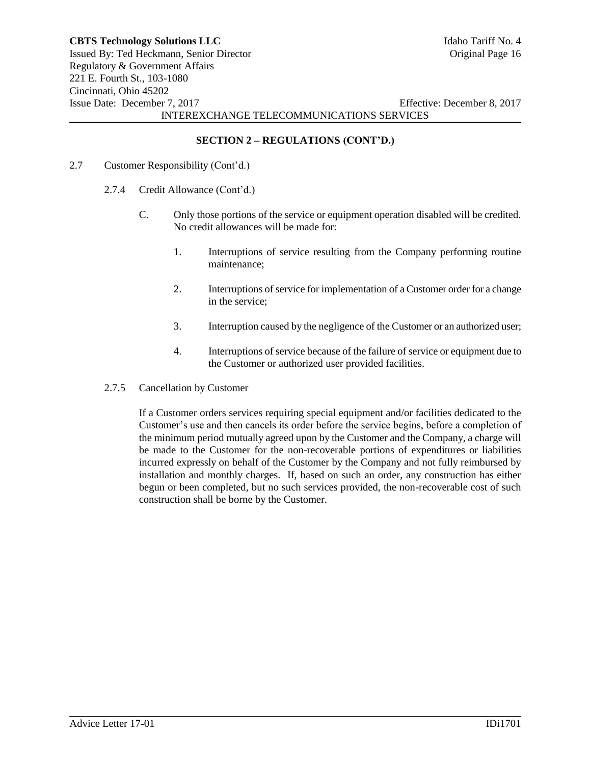## **SECTION 2 – REGULATIONS (CONT'D.)**

- 2.7 Customer Responsibility (Cont'd.)
	- 2.7.4 Credit Allowance (Cont'd.)
		- C. Only those portions of the service or equipment operation disabled will be credited. No credit allowances will be made for:
			- 1. Interruptions of service resulting from the Company performing routine maintenance;
			- 2. Interruptions of service for implementation of a Customer order for a change in the service;
			- 3. Interruption caused by the negligence of the Customer or an authorized user;
			- 4. Interruptions of service because of the failure of service or equipment due to the Customer or authorized user provided facilities.
	- 2.7.5 Cancellation by Customer

If a Customer orders services requiring special equipment and/or facilities dedicated to the Customer's use and then cancels its order before the service begins, before a completion of the minimum period mutually agreed upon by the Customer and the Company, a charge will be made to the Customer for the non-recoverable portions of expenditures or liabilities incurred expressly on behalf of the Customer by the Company and not fully reimbursed by installation and monthly charges. If, based on such an order, any construction has either begun or been completed, but no such services provided, the non-recoverable cost of such construction shall be borne by the Customer.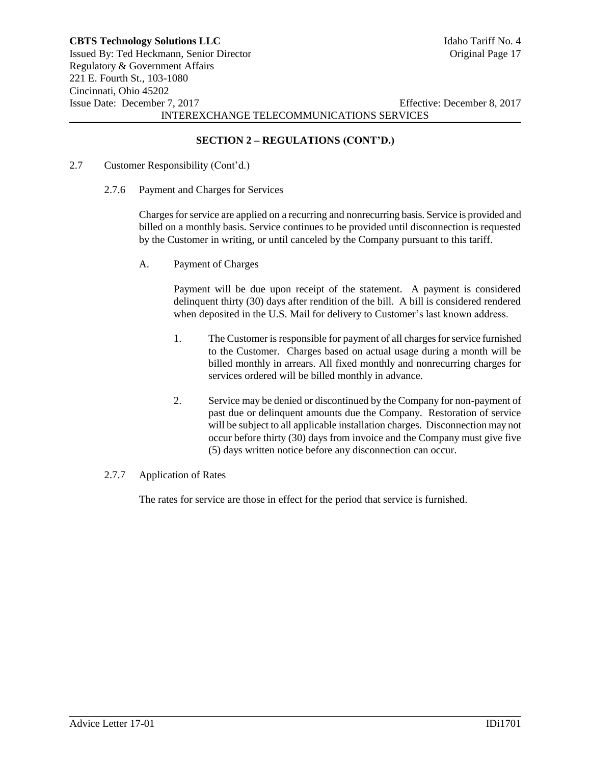# **SECTION 2 – REGULATIONS (CONT'D.)**

- 2.7 Customer Responsibility (Cont'd.)
	- 2.7.6 Payment and Charges for Services

Charges for service are applied on a recurring and nonrecurring basis. Service is provided and billed on a monthly basis. Service continues to be provided until disconnection is requested by the Customer in writing, or until canceled by the Company pursuant to this tariff.

A. Payment of Charges

Payment will be due upon receipt of the statement. A payment is considered delinquent thirty (30) days after rendition of the bill. A bill is considered rendered when deposited in the U.S. Mail for delivery to Customer's last known address.

- 1. The Customer is responsible for payment of all charges for service furnished to the Customer. Charges based on actual usage during a month will be billed monthly in arrears. All fixed monthly and nonrecurring charges for services ordered will be billed monthly in advance.
- 2. Service may be denied or discontinued by the Company for non-payment of past due or delinquent amounts due the Company. Restoration of service will be subject to all applicable installation charges. Disconnection may not occur before thirty (30) days from invoice and the Company must give five (5) days written notice before any disconnection can occur.
- 2.7.7 Application of Rates

The rates for service are those in effect for the period that service is furnished.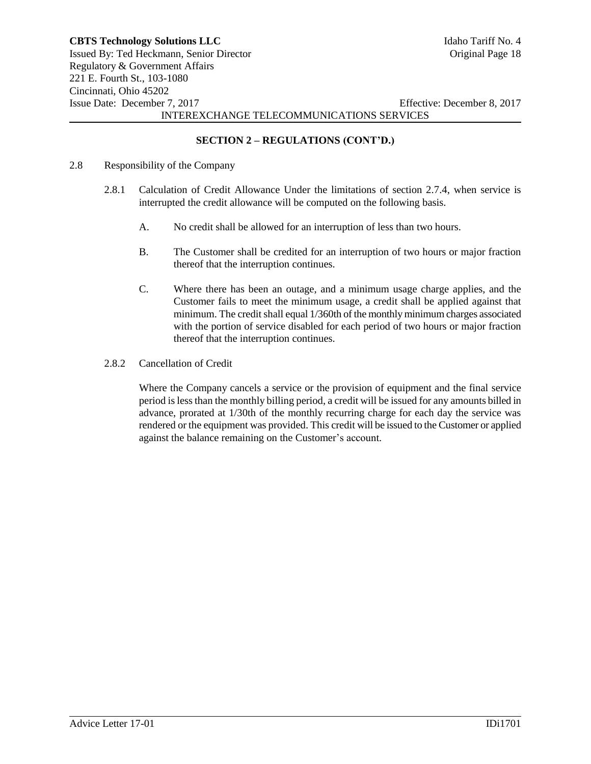# **SECTION 2 – REGULATIONS (CONT'D.)**

- 2.8 Responsibility of the Company
	- 2.8.1 Calculation of Credit Allowance Under the limitations of section 2.7.4, when service is interrupted the credit allowance will be computed on the following basis.
		- A. No credit shall be allowed for an interruption of less than two hours.
		- B. The Customer shall be credited for an interruption of two hours or major fraction thereof that the interruption continues.
		- C. Where there has been an outage, and a minimum usage charge applies, and the Customer fails to meet the minimum usage, a credit shall be applied against that minimum. The credit shall equal 1/360th of the monthly minimum charges associated with the portion of service disabled for each period of two hours or major fraction thereof that the interruption continues.
	- 2.8.2 Cancellation of Credit

Where the Company cancels a service or the provision of equipment and the final service period is less than the monthly billing period, a credit will be issued for any amounts billed in advance, prorated at 1/30th of the monthly recurring charge for each day the service was rendered or the equipment was provided. This credit will be issued to the Customer or applied against the balance remaining on the Customer's account.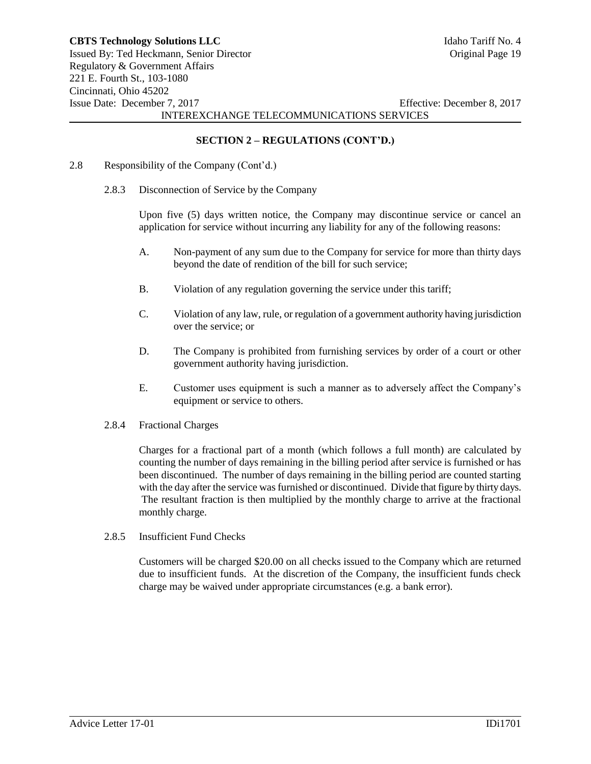## **SECTION 2 – REGULATIONS (CONT'D.)**

- 2.8 Responsibility of the Company (Cont'd.)
	- 2.8.3 Disconnection of Service by the Company

Upon five (5) days written notice, the Company may discontinue service or cancel an application for service without incurring any liability for any of the following reasons:

- A. Non-payment of any sum due to the Company for service for more than thirty days beyond the date of rendition of the bill for such service;
- B. Violation of any regulation governing the service under this tariff;
- C. Violation of any law, rule, or regulation of a government authority having jurisdiction over the service; or
- D. The Company is prohibited from furnishing services by order of a court or other government authority having jurisdiction.
- E. Customer uses equipment is such a manner as to adversely affect the Company's equipment or service to others.
- 2.8.4 Fractional Charges

Charges for a fractional part of a month (which follows a full month) are calculated by counting the number of days remaining in the billing period after service is furnished or has been discontinued. The number of days remaining in the billing period are counted starting with the day after the service was furnished or discontinued. Divide that figure by thirty days. The resultant fraction is then multiplied by the monthly charge to arrive at the fractional monthly charge.

2.8.5 Insufficient Fund Checks

Customers will be charged \$20.00 on all checks issued to the Company which are returned due to insufficient funds. At the discretion of the Company, the insufficient funds check charge may be waived under appropriate circumstances (e.g. a bank error).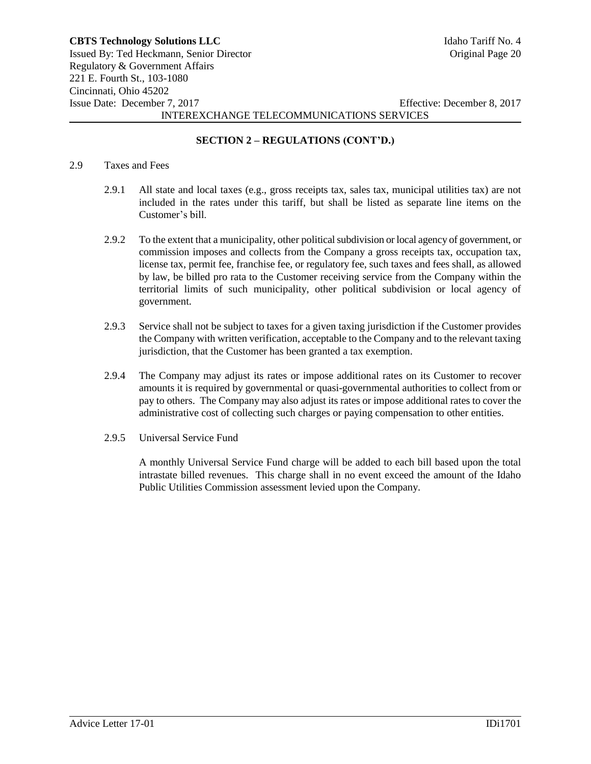# **SECTION 2 – REGULATIONS (CONT'D.)**

#### 2.9 Taxes and Fees

- 2.9.1 All state and local taxes (e.g., gross receipts tax, sales tax, municipal utilities tax) are not included in the rates under this tariff, but shall be listed as separate line items on the Customer's bill.
- 2.9.2 To the extent that a municipality, other political subdivision or local agency of government, or commission imposes and collects from the Company a gross receipts tax, occupation tax, license tax, permit fee, franchise fee, or regulatory fee, such taxes and fees shall, as allowed by law, be billed pro rata to the Customer receiving service from the Company within the territorial limits of such municipality, other political subdivision or local agency of government.
- 2.9.3 Service shall not be subject to taxes for a given taxing jurisdiction if the Customer provides the Company with written verification, acceptable to the Company and to the relevant taxing jurisdiction, that the Customer has been granted a tax exemption.
- 2.9.4 The Company may adjust its rates or impose additional rates on its Customer to recover amounts it is required by governmental or quasi-governmental authorities to collect from or pay to others. The Company may also adjust its rates or impose additional rates to cover the administrative cost of collecting such charges or paying compensation to other entities.
- 2.9.5 Universal Service Fund

A monthly Universal Service Fund charge will be added to each bill based upon the total intrastate billed revenues. This charge shall in no event exceed the amount of the Idaho Public Utilities Commission assessment levied upon the Company.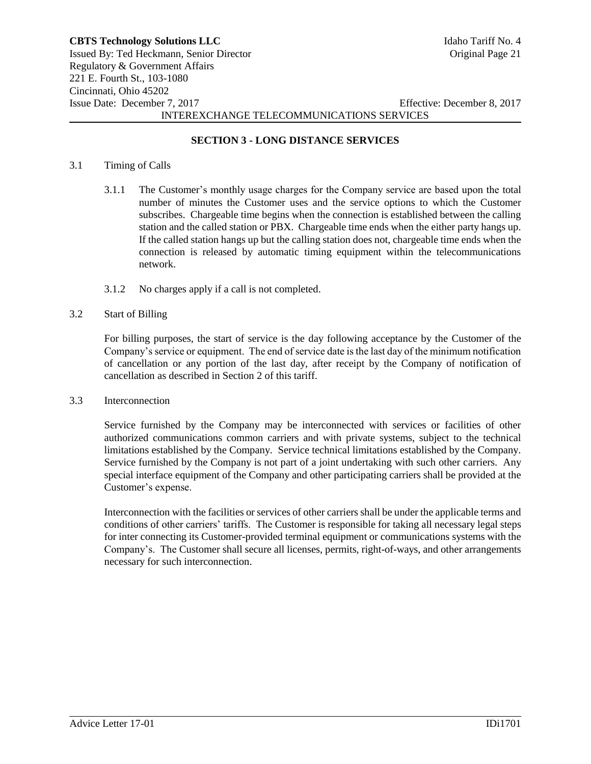### **SECTION 3 - LONG DISTANCE SERVICES**

#### 3.1 Timing of Calls

- 3.1.1 The Customer's monthly usage charges for the Company service are based upon the total number of minutes the Customer uses and the service options to which the Customer subscribes. Chargeable time begins when the connection is established between the calling station and the called station or PBX. Chargeable time ends when the either party hangs up. If the called station hangs up but the calling station does not, chargeable time ends when the connection is released by automatic timing equipment within the telecommunications network.
- 3.1.2 No charges apply if a call is not completed.
- 3.2 Start of Billing

For billing purposes, the start of service is the day following acceptance by the Customer of the Company's service or equipment. The end of service date is the last day of the minimum notification of cancellation or any portion of the last day, after receipt by the Company of notification of cancellation as described in Section 2 of this tariff.

3.3 Interconnection

Service furnished by the Company may be interconnected with services or facilities of other authorized communications common carriers and with private systems, subject to the technical limitations established by the Company. Service technical limitations established by the Company. Service furnished by the Company is not part of a joint undertaking with such other carriers. Any special interface equipment of the Company and other participating carriers shall be provided at the Customer's expense.

Interconnection with the facilities or services of other carriers shall be under the applicable terms and conditions of other carriers' tariffs. The Customer is responsible for taking all necessary legal steps for inter connecting its Customer-provided terminal equipment or communications systems with the Company's. The Customer shall secure all licenses, permits, right-of-ways, and other arrangements necessary for such interconnection.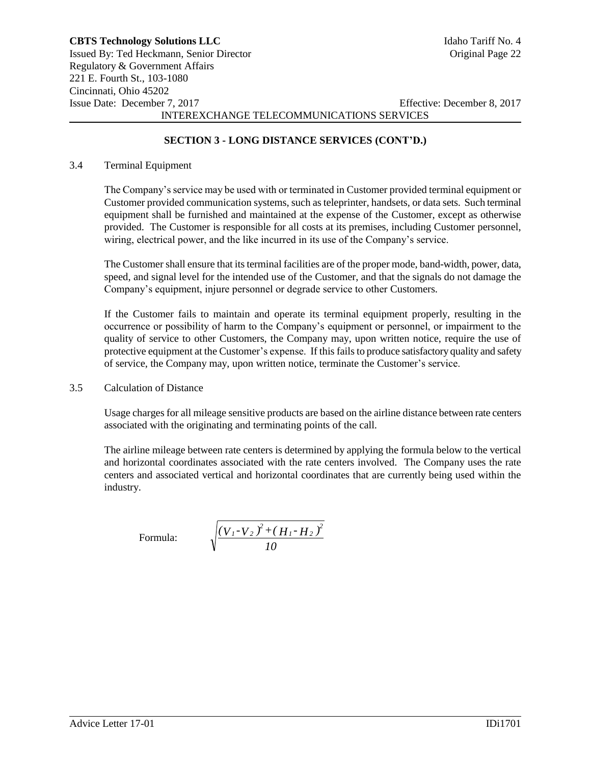# **SECTION 3 - LONG DISTANCE SERVICES (CONT'D.)**

### 3.4 Terminal Equipment

The Company's service may be used with or terminated in Customer provided terminal equipment or Customer provided communication systems, such as teleprinter, handsets, or data sets. Such terminal equipment shall be furnished and maintained at the expense of the Customer, except as otherwise provided. The Customer is responsible for all costs at its premises, including Customer personnel, wiring, electrical power, and the like incurred in its use of the Company's service.

The Customer shall ensure that its terminal facilities are of the proper mode, band-width, power, data, speed, and signal level for the intended use of the Customer, and that the signals do not damage the Company's equipment, injure personnel or degrade service to other Customers.

If the Customer fails to maintain and operate its terminal equipment properly, resulting in the occurrence or possibility of harm to the Company's equipment or personnel, or impairment to the quality of service to other Customers, the Company may, upon written notice, require the use of protective equipment at the Customer's expense. If this fails to produce satisfactory quality and safety of service, the Company may, upon written notice, terminate the Customer's service.

3.5 Calculation of Distance

Usage charges for all mileage sensitive products are based on the airline distance between rate centers associated with the originating and terminating points of the call.

The airline mileage between rate centers is determined by applying the formula below to the vertical and horizontal coordinates associated with the rate centers involved. The Company uses the rate centers and associated vertical and horizontal coordinates that are currently being used within the industry.

Formula:

$$
\sqrt{\frac{(V_{1}-V_{2})^{2}+(H_{1}-H_{2})^{2}}{10}}
$$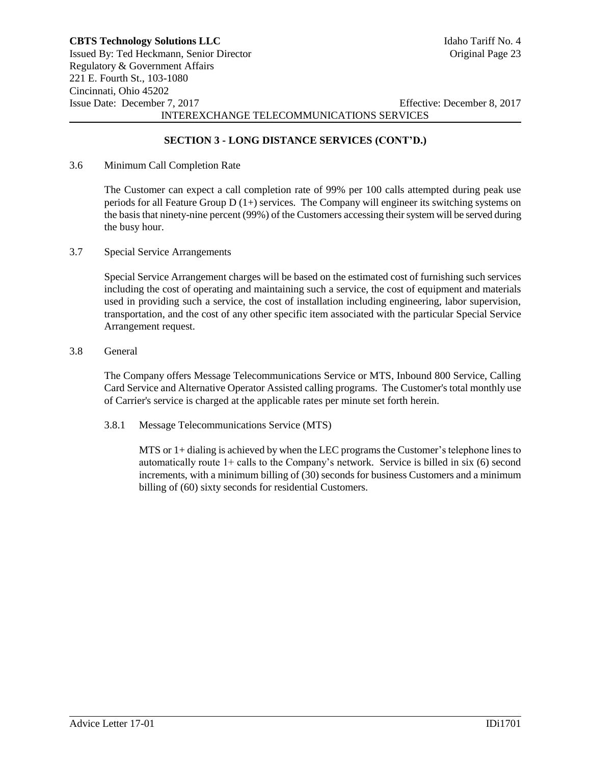## **SECTION 3 - LONG DISTANCE SERVICES (CONT'D.)**

3.6 Minimum Call Completion Rate

The Customer can expect a call completion rate of 99% per 100 calls attempted during peak use periods for all Feature Group  $D(1+)$  services. The Company will engineer its switching systems on the basis that ninety-nine percent (99%) of the Customers accessing their system will be served during the busy hour.

3.7 Special Service Arrangements

Special Service Arrangement charges will be based on the estimated cost of furnishing such services including the cost of operating and maintaining such a service, the cost of equipment and materials used in providing such a service, the cost of installation including engineering, labor supervision, transportation, and the cost of any other specific item associated with the particular Special Service Arrangement request.

3.8 General

The Company offers Message Telecommunications Service or MTS, Inbound 800 Service, Calling Card Service and Alternative Operator Assisted calling programs. The Customer's total monthly use of Carrier's service is charged at the applicable rates per minute set forth herein.

3.8.1 Message Telecommunications Service (MTS)

MTS or 1+ dialing is achieved by when the LEC programs the Customer's telephone lines to automatically route  $1+$  calls to the Company's network. Service is billed in six  $(6)$  second increments, with a minimum billing of (30) seconds for business Customers and a minimum billing of (60) sixty seconds for residential Customers.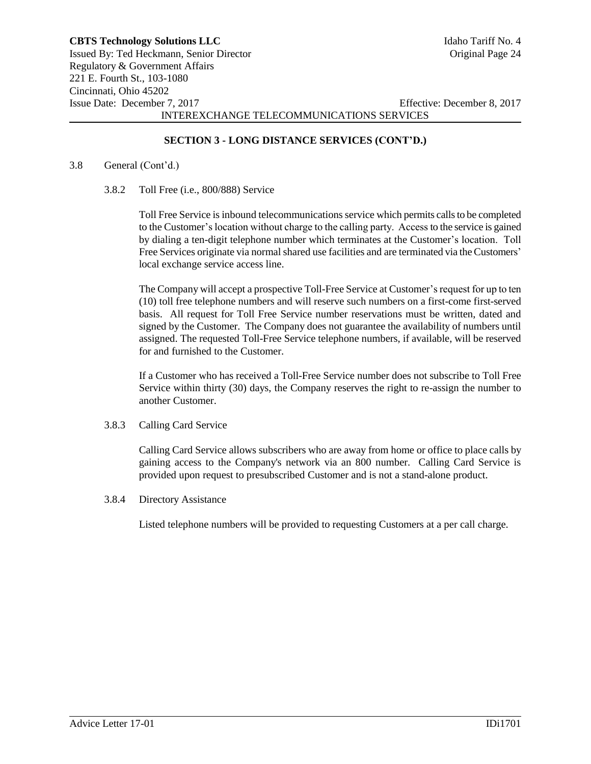### **SECTION 3 - LONG DISTANCE SERVICES (CONT'D.)**

#### 3.8 General (Cont'd.)

3.8.2 Toll Free (i.e., 800/888) Service

Toll Free Service is inbound telecommunications service which permits calls to be completed to the Customer's location without charge to the calling party. Access to the service is gained by dialing a ten-digit telephone number which terminates at the Customer's location. Toll Free Services originate via normal shared use facilities and are terminated via the Customers' local exchange service access line.

The Company will accept a prospective Toll-Free Service at Customer's request for up to ten (10) toll free telephone numbers and will reserve such numbers on a first-come first-served basis. All request for Toll Free Service number reservations must be written, dated and signed by the Customer. The Company does not guarantee the availability of numbers until assigned. The requested Toll-Free Service telephone numbers, if available, will be reserved for and furnished to the Customer.

If a Customer who has received a Toll-Free Service number does not subscribe to Toll Free Service within thirty (30) days, the Company reserves the right to re-assign the number to another Customer.

3.8.3 Calling Card Service

Calling Card Service allows subscribers who are away from home or office to place calls by gaining access to the Company's network via an 800 number. Calling Card Service is provided upon request to presubscribed Customer and is not a stand-alone product.

3.8.4 Directory Assistance

Listed telephone numbers will be provided to requesting Customers at a per call charge.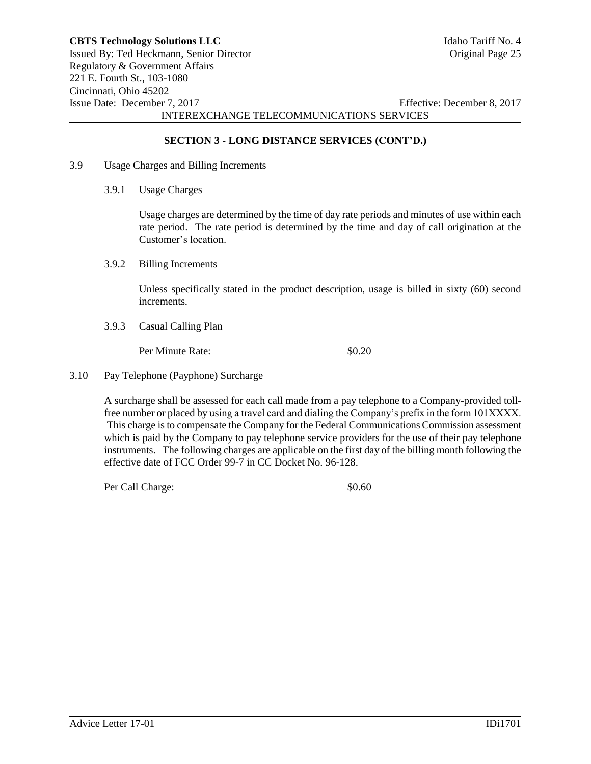### **SECTION 3 - LONG DISTANCE SERVICES (CONT'D.)**

- 3.9 Usage Charges and Billing Increments
	- 3.9.1 Usage Charges

Usage charges are determined by the time of day rate periods and minutes of use within each rate period. The rate period is determined by the time and day of call origination at the Customer's location.

3.9.2 Billing Increments

Unless specifically stated in the product description, usage is billed in sixty (60) second increments.

3.9.3 Casual Calling Plan

Per Minute Rate:  $$0.20$ 

3.10 Pay Telephone (Payphone) Surcharge

A surcharge shall be assessed for each call made from a pay telephone to a Company-provided tollfree number or placed by using a travel card and dialing the Company's prefix in the form 101XXXX. This charge is to compensate the Company for the Federal Communications Commission assessment which is paid by the Company to pay telephone service providers for the use of their pay telephone instruments. The following charges are applicable on the first day of the billing month following the effective date of FCC Order 99-7 in CC Docket No. 96-128.

Per Call Charge:  $\$0.60$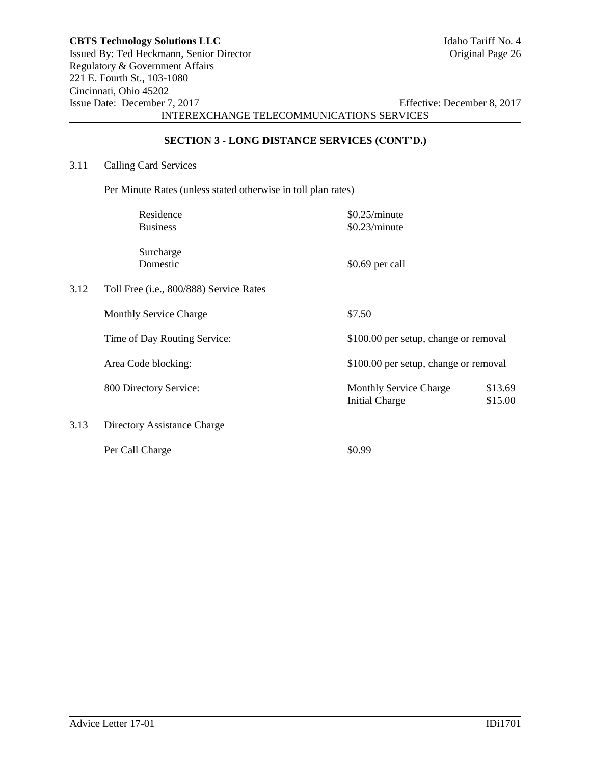# **SECTION 3 - LONG DISTANCE SERVICES (CONT'D.)**

# 3.11 Calling Card Services

Per Minute Rates (unless stated otherwise in toll plan rates)

|      | Residence                               | \$0.25/minute                                                                |
|------|-----------------------------------------|------------------------------------------------------------------------------|
|      | <b>Business</b>                         | \$0.23/minute                                                                |
|      | Surcharge<br>Domestic                   | \$0.69 per call                                                              |
| 3.12 | Toll Free (i.e., 800/888) Service Rates |                                                                              |
|      | <b>Monthly Service Charge</b>           | \$7.50                                                                       |
|      | Time of Day Routing Service:            | \$100.00 per setup, change or removal                                        |
|      | Area Code blocking:                     | \$100.00 per setup, change or removal                                        |
|      | 800 Directory Service:                  | \$13.69<br><b>Monthly Service Charge</b><br>\$15.00<br><b>Initial Charge</b> |
| 3.13 | Directory Assistance Charge             |                                                                              |
|      | Per Call Charge                         | \$0.99                                                                       |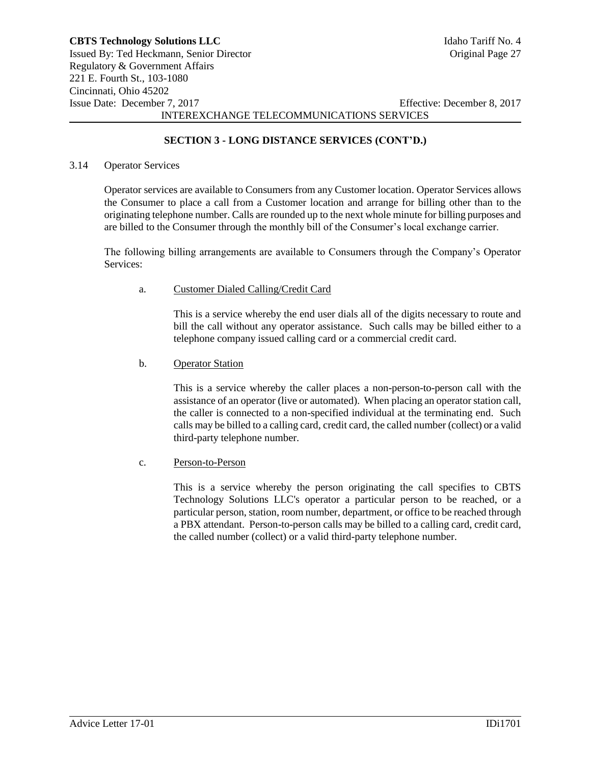# **SECTION 3 - LONG DISTANCE SERVICES (CONT'D.)**

#### 3.14 Operator Services

Operator services are available to Consumers from any Customer location. Operator Services allows the Consumer to place a call from a Customer location and arrange for billing other than to the originating telephone number. Calls are rounded up to the next whole minute for billing purposes and are billed to the Consumer through the monthly bill of the Consumer's local exchange carrier.

The following billing arrangements are available to Consumers through the Company's Operator Services:

#### a. Customer Dialed Calling/Credit Card

This is a service whereby the end user dials all of the digits necessary to route and bill the call without any operator assistance. Such calls may be billed either to a telephone company issued calling card or a commercial credit card.

#### b. Operator Station

This is a service whereby the caller places a non-person-to-person call with the assistance of an operator (live or automated). When placing an operator station call, the caller is connected to a non-specified individual at the terminating end. Such calls may be billed to a calling card, credit card, the called number (collect) or a valid third-party telephone number.

#### c. Person-to-Person

This is a service whereby the person originating the call specifies to CBTS Technology Solutions LLC's operator a particular person to be reached, or a particular person, station, room number, department, or office to be reached through a PBX attendant. Person-to-person calls may be billed to a calling card, credit card, the called number (collect) or a valid third-party telephone number.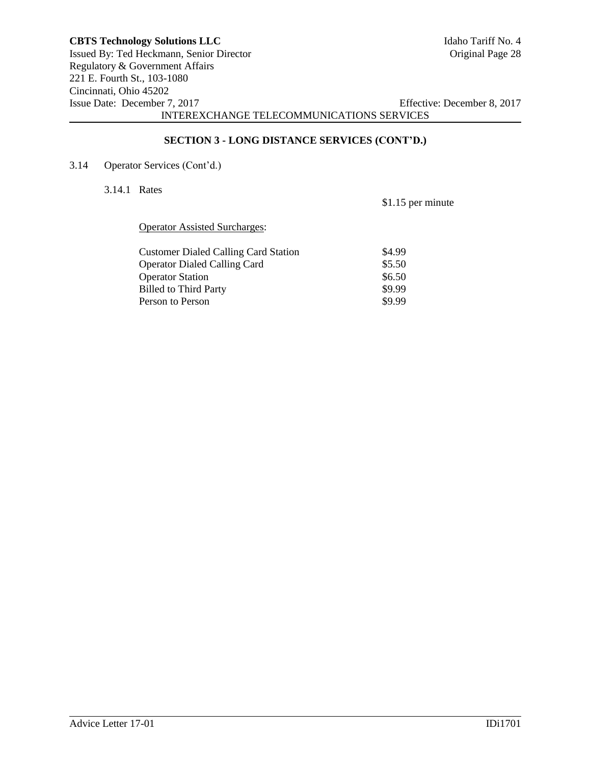221 E. Fourth St., 103-1080 Cincinnati, Ohio 45202 Issue Date: December 7, 2017 Effective: December 8, 2017 INTEREXCHANGE TELECOMMUNICATIONS SERVICES

### **SECTION 3 - LONG DISTANCE SERVICES (CONT'D.)**

3.14 Operator Services (Cont'd.)

3.14.1 Rates

\$1.15 per minute

Operator Assisted Surcharges:

| <b>Customer Dialed Calling Card Station</b> | \$4.99 |
|---------------------------------------------|--------|
| <b>Operator Dialed Calling Card</b>         | \$5.50 |
| <b>Operator Station</b>                     | \$6.50 |
| <b>Billed to Third Party</b>                | \$9.99 |
| Person to Person                            | \$9.99 |
|                                             |        |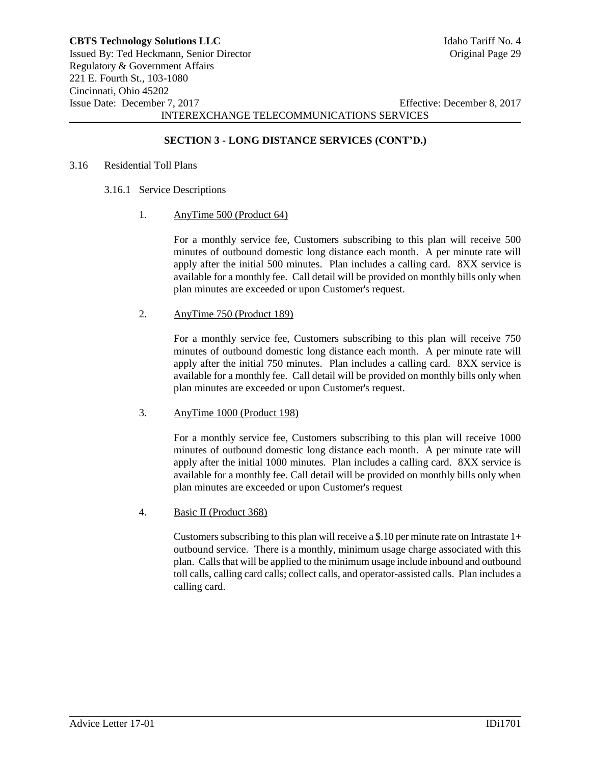### **SECTION 3 - LONG DISTANCE SERVICES (CONT'D.)**

#### 3.16 Residential Toll Plans

- 3.16.1 Service Descriptions
	- 1. AnyTime 500 (Product 64)

For a monthly service fee, Customers subscribing to this plan will receive 500 minutes of outbound domestic long distance each month. A per minute rate will apply after the initial 500 minutes. Plan includes a calling card. 8XX service is available for a monthly fee. Call detail will be provided on monthly bills only when plan minutes are exceeded or upon Customer's request.

2. AnyTime 750 (Product 189)

For a monthly service fee, Customers subscribing to this plan will receive 750 minutes of outbound domestic long distance each month. A per minute rate will apply after the initial 750 minutes. Plan includes a calling card. 8XX service is available for a monthly fee. Call detail will be provided on monthly bills only when plan minutes are exceeded or upon Customer's request.

### 3. AnyTime 1000 (Product 198)

For a monthly service fee, Customers subscribing to this plan will receive 1000 minutes of outbound domestic long distance each month. A per minute rate will apply after the initial 1000 minutes. Plan includes a calling card. 8XX service is available for a monthly fee. Call detail will be provided on monthly bills only when plan minutes are exceeded or upon Customer's request

4. Basic II (Product 368)

Customers subscribing to this plan will receive a \$.10 per minute rate on Intrastate  $1+$ outbound service. There is a monthly, minimum usage charge associated with this plan. Calls that will be applied to the minimum usage include inbound and outbound toll calls, calling card calls; collect calls, and operator-assisted calls. Plan includes a calling card.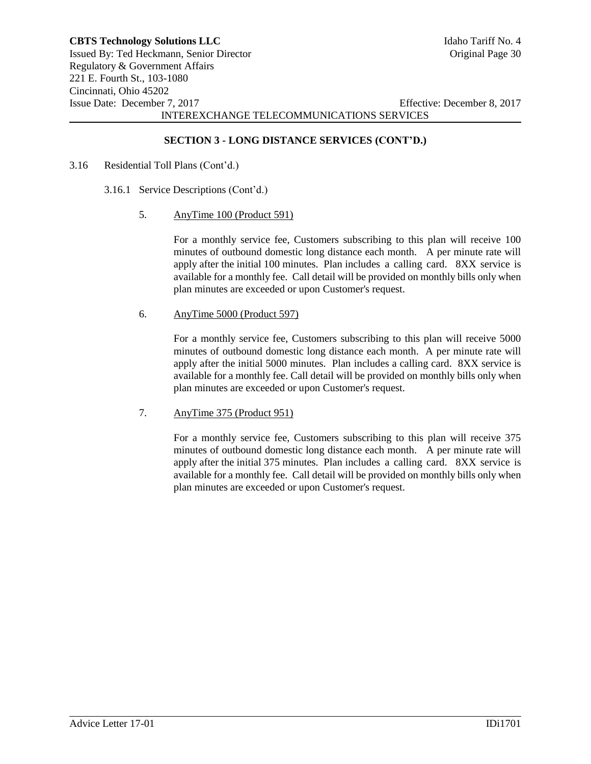## **SECTION 3 - LONG DISTANCE SERVICES (CONT'D.)**

- 3.16 Residential Toll Plans (Cont'd.)
	- 3.16.1 Service Descriptions (Cont'd.)
		- 5. AnyTime 100 (Product 591)

For a monthly service fee, Customers subscribing to this plan will receive 100 minutes of outbound domestic long distance each month. A per minute rate will apply after the initial 100 minutes. Plan includes a calling card. 8XX service is available for a monthly fee. Call detail will be provided on monthly bills only when plan minutes are exceeded or upon Customer's request.

6. AnyTime 5000 (Product 597)

For a monthly service fee, Customers subscribing to this plan will receive 5000 minutes of outbound domestic long distance each month. A per minute rate will apply after the initial 5000 minutes. Plan includes a calling card. 8XX service is available for a monthly fee. Call detail will be provided on monthly bills only when plan minutes are exceeded or upon Customer's request.

7. AnyTime 375 (Product 951)

For a monthly service fee, Customers subscribing to this plan will receive 375 minutes of outbound domestic long distance each month. A per minute rate will apply after the initial 375 minutes. Plan includes a calling card. 8XX service is available for a monthly fee. Call detail will be provided on monthly bills only when plan minutes are exceeded or upon Customer's request.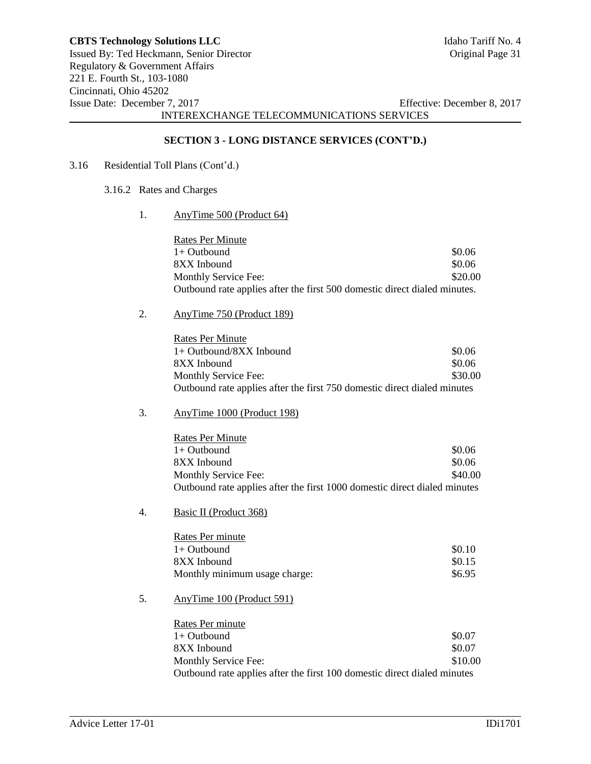## **SECTION 3 - LONG DISTANCE SERVICES (CONT'D.)**

# 3.16 Residential Toll Plans (Cont'd.)

- 3.16.2 Rates and Charges
	- 1. AnyTime 500 (Product 64)

| <b>Rates Per Minute</b>                                                   |         |
|---------------------------------------------------------------------------|---------|
| $1+$ Outbound                                                             | \$0.06  |
| 8XX Inbound                                                               | \$0.06  |
| Monthly Service Fee:                                                      | \$20.00 |
| Outbound rate applies after the first 500 domestic direct dialed minutes. |         |

2. AnyTime 750 (Product 189)

| Rates Per Minute                                                         |         |
|--------------------------------------------------------------------------|---------|
| $1+$ Outbound/8XX Inbound                                                | \$0.06  |
| 8XX Inbound                                                              | \$0.06  |
| Monthly Service Fee:                                                     | \$30.00 |
| Outbound rate applies after the first 750 domestic direct dialed minutes |         |

3. AnyTime 1000 (Product 198)

| <b>Rates Per Minute</b>                                                   |         |
|---------------------------------------------------------------------------|---------|
| 1+ Outbound                                                               | \$0.06  |
| 8XX Inbound                                                               | \$0.06  |
| Monthly Service Fee:                                                      | \$40.00 |
| Outbound rate applies after the first 1000 domestic direct dialed minutes |         |

4. Basic II (Product 368)

| Rates Per minute              |        |
|-------------------------------|--------|
| $1+$ Outbound                 | \$0.10 |
| 8XX Inbound                   | \$0.15 |
| Monthly minimum usage charge: | \$6.95 |

5. AnyTime 100 (Product 591)

| Rates Per minute                                                         |         |
|--------------------------------------------------------------------------|---------|
| 1+ Outbound                                                              | \$0.07  |
| 8XX Inbound                                                              | \$0.07  |
| Monthly Service Fee:                                                     | \$10.00 |
| Outbound rate applies after the first 100 domestic direct dialed minutes |         |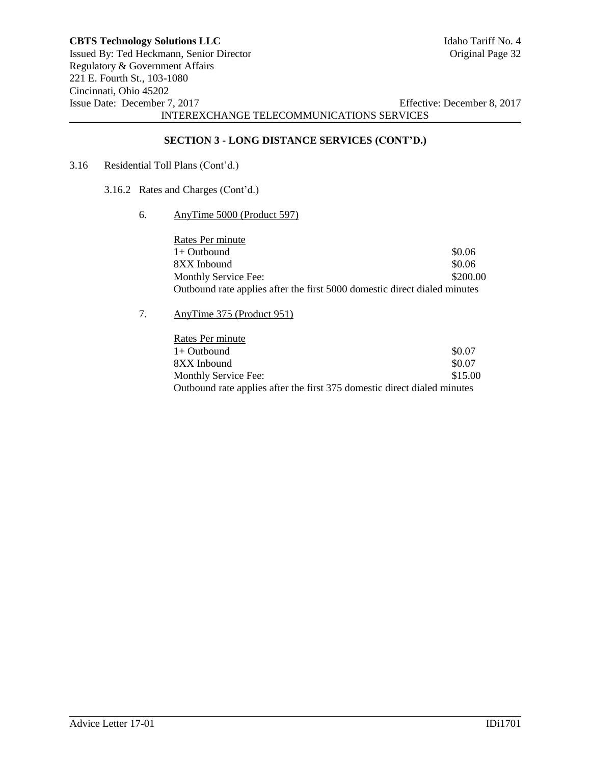# **SECTION 3 - LONG DISTANCE SERVICES (CONT'D.)**

- 3.16 Residential Toll Plans (Cont'd.)
	- 3.16.2 Rates and Charges (Cont'd.)
		- 6. AnyTime 5000 (Product 597)

| Rates Per minute                                                          |          |
|---------------------------------------------------------------------------|----------|
| $1+$ Outbound                                                             | \$0.06   |
| 8XX Inbound                                                               | \$0.06   |
| Monthly Service Fee:                                                      | \$200.00 |
| Outbound rate applies after the first 5000 domestic direct dialed minutes |          |

7. AnyTime 375 (Product 951)

| Rates Per minute                                                         |         |
|--------------------------------------------------------------------------|---------|
| $1+$ Outbound                                                            | \$0.07  |
| 8XX Inbound                                                              | \$0.07  |
| Monthly Service Fee:                                                     | \$15.00 |
| Outbound rate applies after the first 375 domestic direct dialed minutes |         |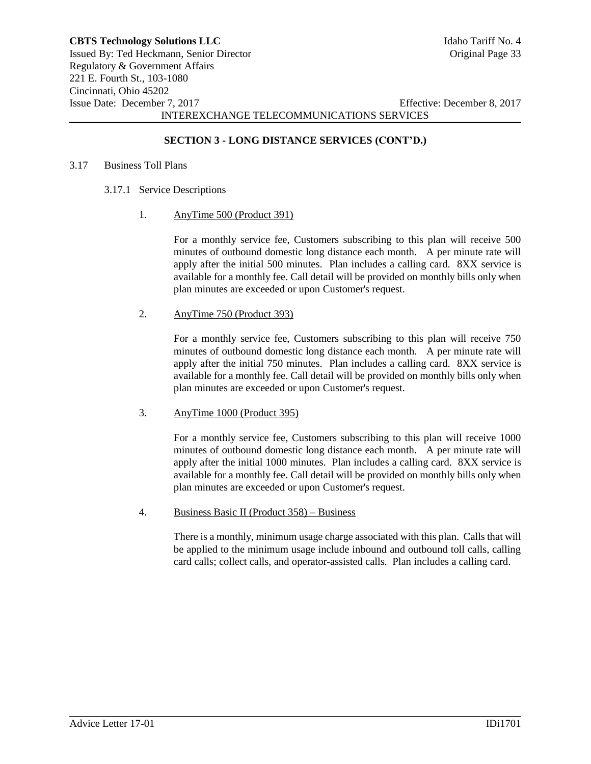## **SECTION 3 - LONG DISTANCE SERVICES (CONT'D.)**

#### 3.17 Business Toll Plans

- 3.17.1 Service Descriptions
	- 1. AnyTime 500 (Product 391)

For a monthly service fee, Customers subscribing to this plan will receive 500 minutes of outbound domestic long distance each month. A per minute rate will apply after the initial 500 minutes. Plan includes a calling card. 8XX service is available for a monthly fee. Call detail will be provided on monthly bills only when plan minutes are exceeded or upon Customer's request.

2. AnyTime 750 (Product 393)

For a monthly service fee, Customers subscribing to this plan will receive 750 minutes of outbound domestic long distance each month. A per minute rate will apply after the initial 750 minutes. Plan includes a calling card. 8XX service is available for a monthly fee. Call detail will be provided on monthly bills only when plan minutes are exceeded or upon Customer's request.

### 3. AnyTime 1000 (Product 395)

For a monthly service fee, Customers subscribing to this plan will receive 1000 minutes of outbound domestic long distance each month. A per minute rate will apply after the initial 1000 minutes. Plan includes a calling card. 8XX service is available for a monthly fee. Call detail will be provided on monthly bills only when plan minutes are exceeded or upon Customer's request.

4. Business Basic II (Product 358) – Business

There is a monthly, minimum usage charge associated with this plan. Calls that will be applied to the minimum usage include inbound and outbound toll calls, calling card calls; collect calls, and operator-assisted calls. Plan includes a calling card.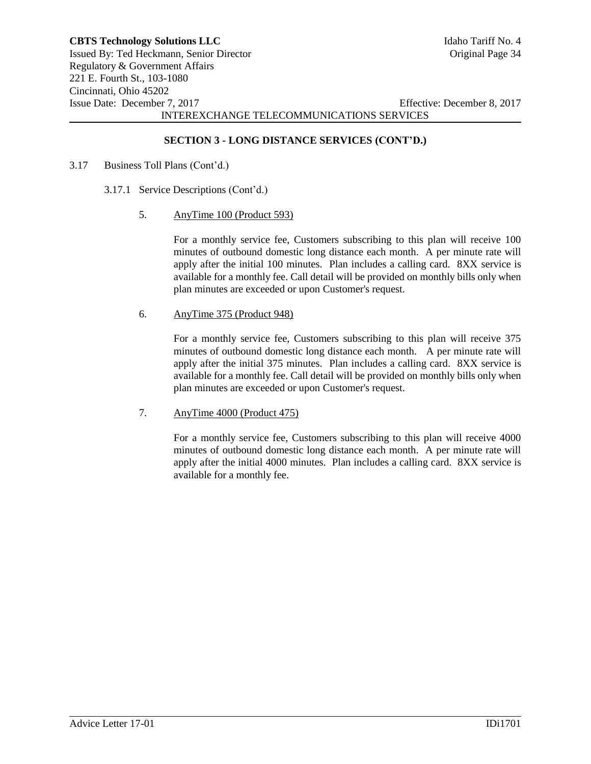## **SECTION 3 - LONG DISTANCE SERVICES (CONT'D.)**

- 3.17 Business Toll Plans (Cont'd.)
	- 3.17.1 Service Descriptions (Cont'd.)
		- 5. AnyTime 100 (Product 593)

For a monthly service fee, Customers subscribing to this plan will receive 100 minutes of outbound domestic long distance each month. A per minute rate will apply after the initial 100 minutes. Plan includes a calling card. 8XX service is available for a monthly fee. Call detail will be provided on monthly bills only when plan minutes are exceeded or upon Customer's request.

6. AnyTime 375 (Product 948)

For a monthly service fee, Customers subscribing to this plan will receive 375 minutes of outbound domestic long distance each month. A per minute rate will apply after the initial 375 minutes. Plan includes a calling card. 8XX service is available for a monthly fee. Call detail will be provided on monthly bills only when plan minutes are exceeded or upon Customer's request.

7. AnyTime 4000 (Product 475)

For a monthly service fee, Customers subscribing to this plan will receive 4000 minutes of outbound domestic long distance each month. A per minute rate will apply after the initial 4000 minutes. Plan includes a calling card. 8XX service is available for a monthly fee.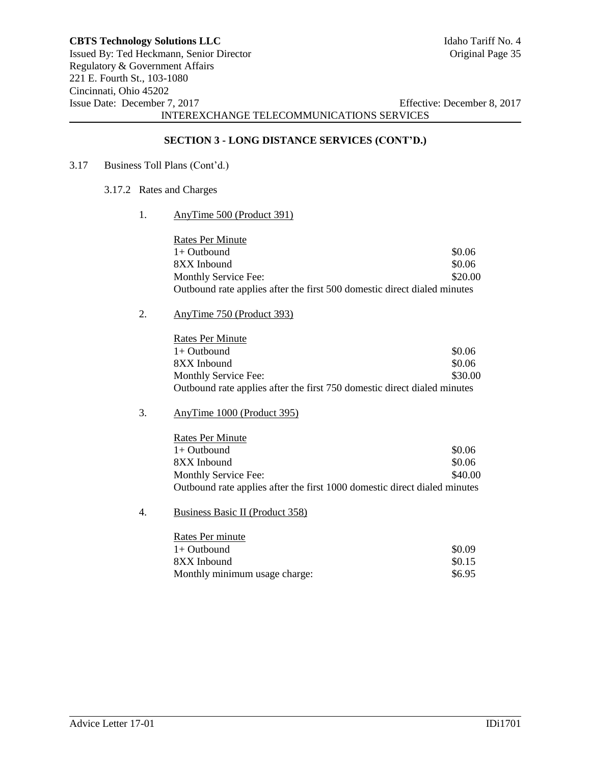# **SECTION 3 - LONG DISTANCE SERVICES (CONT'D.)**

- 3.17 Business Toll Plans (Cont'd.)
	- 3.17.2 Rates and Charges
		- 1. AnyTime 500 (Product 391)

| <b>Rates Per Minute</b>                                                  |         |
|--------------------------------------------------------------------------|---------|
| $1+$ Outbound                                                            | \$0.06  |
| 8XX Inbound                                                              | \$0.06  |
| Monthly Service Fee:                                                     | \$20.00 |
| Outbound rate applies after the first 500 domestic direct dialed minutes |         |

2. AnyTime 750 (Product 393)

| <b>Rates Per Minute</b>                                                  |         |
|--------------------------------------------------------------------------|---------|
| $1+$ Outbound                                                            | \$0.06  |
| 8XX Inbound                                                              | \$0.06  |
| Monthly Service Fee:                                                     | \$30.00 |
| Outbound rate applies after the first 750 domestic direct dialed minutes |         |

3. AnyTime 1000 (Product 395)

| Rates Per Minute                                                          |         |
|---------------------------------------------------------------------------|---------|
| 1+ Outbound                                                               | \$0.06  |
| 8XX Inbound                                                               | \$0.06  |
| Monthly Service Fee:                                                      | \$40.00 |
| Outbound rate applies after the first 1000 domestic direct dialed minutes |         |

4. Business Basic II (Product 358)

| Rates Per minute              |        |
|-------------------------------|--------|
| $1+$ Outbound                 | \$0.09 |
| 8XX Inbound                   | \$0.15 |
| Monthly minimum usage charge: | \$6.95 |